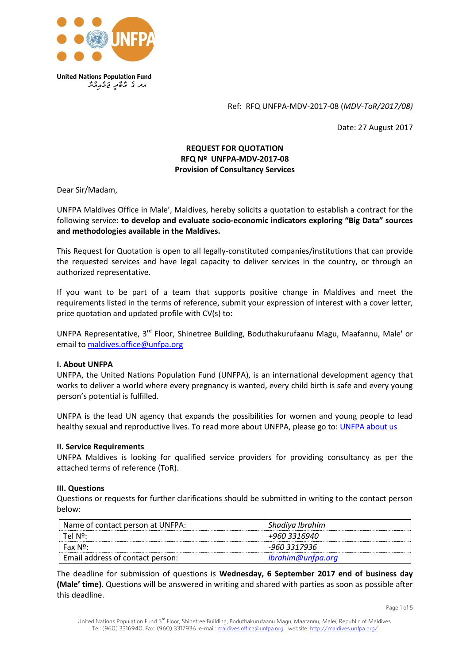

Ref: RFQ UNFPA-MDV-2017-08 (*MDV-ToR/2017/08)*

Date: 27 August 2017

# **REQUEST FOR QUOTATION RFQ Nº UNFPA-MDV-2017-08 Provision of Consultancy Services**

Dear Sir/Madam,

UNFPA Maldives Office in Male', Maldives, hereby solicits a quotation to establish a contract for the following service: **to develop and evaluate socio-economic indicators exploring "Big Data" sources and methodologies available in the Maldives.**

This Request for Quotation is open to all legally-constituted companies/institutions that can provide the requested services and have legal capacity to deliver services in the country, or through an authorized representative.

If you want to be part of a team that supports positive change in Maldives and meet the requirements listed in the terms of reference, submit your expression of interest with a cover letter, price quotation and updated profile with CV(s) to:

UNFPA Representative, 3rd Floor, Shinetree Building, Boduthakurufaanu Magu, Maafannu, Male' or email to [maldives.office@unfpa.org](mailto:maldives.office@unfpa.org)

### **I. About UNFPA**

UNFPA, the United Nations Population Fund (UNFPA), is an international development agency that works to deliver a world where every pregnancy is wanted, every child birth is safe and every young person's potential is fulfilled.

UNFPA is the lead UN agency that expands the possibilities for women and young people to lead healthy sexual and reproductive lives. To read more about UNFPA, please go to: [UNFPA about us](http://www.unfpa.org/about-us)

#### **II. Service Requirements**

UNFPA Maldives is looking for qualified service providers for providing consultancy as per the attached terms of reference (ToR).

#### **III. Questions**

Questions or requests for further clarifications should be submitted in writing to the contact person below:

| Name of contact person at UNFPA: | Shadiya Ibrahim   |
|----------------------------------|-------------------|
| Tel Nº:                          | +960 3316940      |
| Fax N <sup>o</sup>               | -960 3317936      |
| Email address of contact person: | ibrahim@unfpa.org |

The deadline for submission of questions is **Wednesday, 6 September 2017 end of business day (Male' time)**. Questions will be answered in writing and shared with parties as soon as possible after this deadline.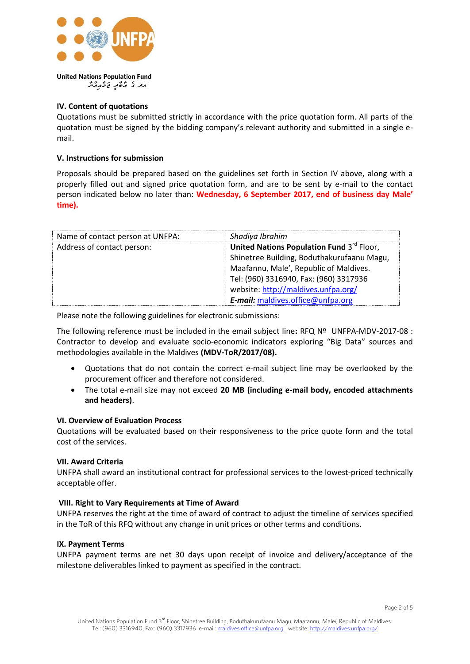

# **IV. Content of quotations**

Quotations must be submitted strictly in accordance with the price quotation form. All parts of the quotation must be signed by the bidding company's relevant authority and submitted in a single email.

### **V. Instructions for submission**

Proposals should be prepared based on the guidelines set forth in Section IV above, along with a properly filled out and signed price quotation form, and are to be sent by e-mail to the contact person indicated below no later than: **Wednesday, 6 September 2017, end of business day Male' time).**

| Name of contact person at UNFPA: | Shadiya Ibrahim                            |
|----------------------------------|--------------------------------------------|
| Address of contact person:       | United Nations Population Fund 3rd Floor,  |
|                                  | Shinetree Building, Boduthakurufaanu Magu, |
|                                  | Maafannu, Male', Republic of Maldives.     |
|                                  | Tel: (960) 3316940, Fax: (960) 3317936     |
|                                  | website: http://maldives.unfpa.org/        |
|                                  | E-mail: maldives.office@unfpa.org          |

Please note the following guidelines for electronic submissions:

The following reference must be included in the email subject line**:** RFQ Nº UNFPA-MDV-2017-08 : Contractor to develop and evaluate socio-economic indicators exploring "Big Data" sources and methodologies available in the Maldives **(MDV-ToR/2017/08).**

- Quotations that do not contain the correct e-mail subject line may be overlooked by the procurement officer and therefore not considered.
- The total e-mail size may not exceed **20 MB (including e-mail body, encoded attachments and headers)**.

### **VI. Overview of Evaluation Process**

Quotations will be evaluated based on their responsiveness to the price quote form and the total cost of the services.

### **VII. Award Criteria**

UNFPA shall award an institutional contract for professional services to the lowest-priced technically acceptable offer.

### **VIII. Right to Vary Requirements at Time of Award**

UNFPA reserves the right at the time of award of contract to adjust the timeline of services specified in the ToR of this RFQ without any change in unit prices or other terms and conditions.

#### **IX. Payment Terms**

UNFPA payment terms are net 30 days upon receipt of invoice and delivery/acceptance of the milestone deliverables linked to payment as specified in the contract.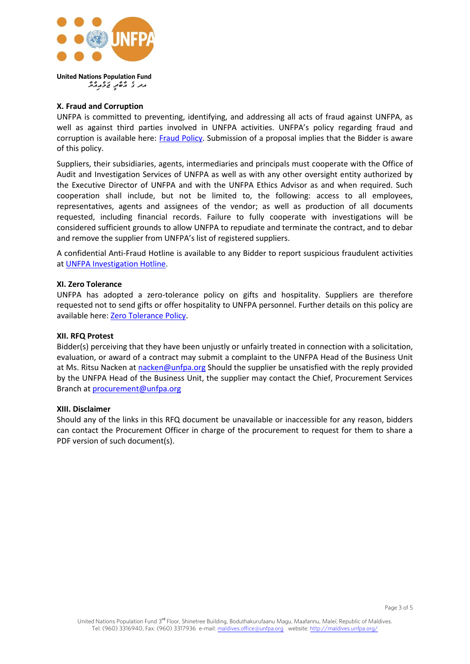

# **X. Fraud and Corruption**

UNFPA is committed to preventing, identifying, and addressing all acts of fraud against UNFPA, as well as against third parties involved in UNFPA activities. UNFPA's policy regarding fraud and corruption is available here: [Fraud Policy.](http://www.unfpa.org/resources/fraud-policy-2009#overlay-context=node/10356/draft) Submission of a proposal implies that the Bidder is aware of this policy.

Suppliers, their subsidiaries, agents, intermediaries and principals must cooperate with the Office of Audit and Investigation Services of UNFPA as well as with any other oversight entity authorized by the Executive Director of UNFPA and with the UNFPA Ethics Advisor as and when required. Such cooperation shall include, but not be limited to, the following: access to all employees, representatives, agents and assignees of the vendor; as well as production of all documents requested, including financial records. Failure to fully cooperate with investigations will be considered sufficient grounds to allow UNFPA to repudiate and terminate the contract, and to debar and remove the supplier from UNFPA's list of registered suppliers.

A confidential Anti-Fraud Hotline is available to any Bidder to report suspicious fraudulent activities a[t UNFPA Investigation Hotline.](http://web2.unfpa.org/help/hotline.cfm)

### **XI. Zero Tolerance**

UNFPA has adopted a zero-tolerance policy on gifts and hospitality. Suppliers are therefore requested not to send gifts or offer hospitality to UNFPA personnel. Further details on this policy are available here: [Zero Tolerance Policy.](http://www.unfpa.org/about-procurement#ZeroTolerance)

### **XII. RFQ Protest**

Bidder(s) perceiving that they have been unjustly or unfairly treated in connection with a solicitation, evaluation, or award of a contract may submit a complaint to the UNFPA Head of the Business Unit at Ms. Ritsu Nacken at [nacken@unfpa.org](mailto:nacken@unfpa.org) Should the supplier be unsatisfied with the reply provided by the UNFPA Head of the Business Unit, the supplier may contact the Chief, Procurement Services Branch at [procurement@unfpa.org](mailto:procurement@unfpa.org)

### **XIII. Disclaimer**

Should any of the links in this RFQ document be unavailable or inaccessible for any reason, bidders can contact the Procurement Officer in charge of the procurement to request for them to share a PDF version of such document(s).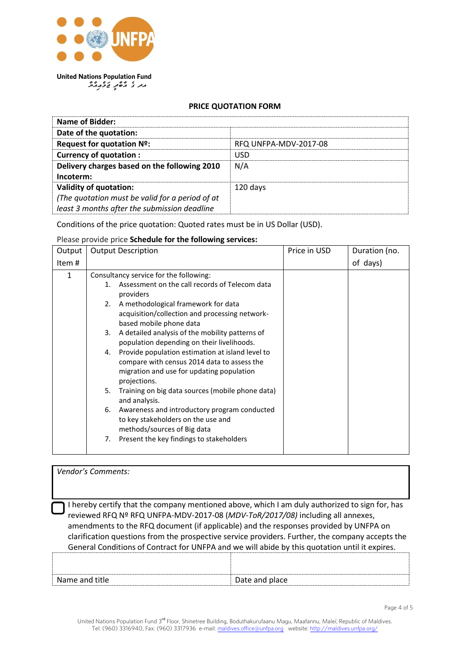

**United Nations Population Fund** *WycaiAcmwj IdWbWa eg da*

### **PRICE QUOTATION FORM**

| Name of Bidder:                                 |                       |  |
|-------------------------------------------------|-----------------------|--|
| Date of the quotation:                          |                       |  |
| Request for quotation Nº:                       | RFQ UNFPA-MDV-2017-08 |  |
| <b>Currency of quotation:</b>                   | USD                   |  |
| Delivery charges based on the following 2010    | N/A                   |  |
| Incoterm:                                       |                       |  |
| <b>Validity of quotation:</b>                   | 120 days              |  |
| (The quotation must be valid for a period of at |                       |  |
| least 3 months after the submission deadline    |                       |  |

Conditions of the price quotation: Quoted rates must be in US Dollar (USD).

Please provide price **Schedule for the following services:**

| Output | <b>Output Description</b>                                                                                                                                                                                                                                                                                                                                                                                                                                                                                                                                                                                                                                                                                                                                                  | Price in USD | Duration (no. |
|--------|----------------------------------------------------------------------------------------------------------------------------------------------------------------------------------------------------------------------------------------------------------------------------------------------------------------------------------------------------------------------------------------------------------------------------------------------------------------------------------------------------------------------------------------------------------------------------------------------------------------------------------------------------------------------------------------------------------------------------------------------------------------------------|--------------|---------------|
| Item # |                                                                                                                                                                                                                                                                                                                                                                                                                                                                                                                                                                                                                                                                                                                                                                            |              | of days)      |
| 1      | Consultancy service for the following:<br>Assessment on the call records of Telecom data<br>1.<br>providers<br>A methodological framework for data<br>2.<br>acquisition/collection and processing network-<br>based mobile phone data<br>A detailed analysis of the mobility patterns of<br>3.<br>population depending on their livelihoods.<br>Provide population estimation at island level to<br>4.<br>compare with census 2014 data to assess the<br>migration and use for updating population<br>projections.<br>Training on big data sources (mobile phone data)<br>5.<br>and analysis.<br>Awareness and introductory program conducted<br>6.<br>to key stakeholders on the use and<br>methods/sources of Big data<br>Present the key findings to stakeholders<br>7. |              |               |

| Vendor's Comments:                                                                                                                                                                                                                                                                                                                                                                                                                                                              |                |  |  |
|---------------------------------------------------------------------------------------------------------------------------------------------------------------------------------------------------------------------------------------------------------------------------------------------------------------------------------------------------------------------------------------------------------------------------------------------------------------------------------|----------------|--|--|
|                                                                                                                                                                                                                                                                                                                                                                                                                                                                                 |                |  |  |
| I hereby certify that the company mentioned above, which I am duly authorized to sign for, has<br>reviewed RFQ Nº RFQ UNFPA-MDV-2017-08 (MDV-ToR/2017/08) including all annexes,<br>amendments to the RFQ document (if applicable) and the responses provided by UNFPA on<br>clarification questions from the prospective service providers. Further, the company accepts the<br>General Conditions of Contract for UNFPA and we will abide by this quotation until it expires. |                |  |  |
|                                                                                                                                                                                                                                                                                                                                                                                                                                                                                 |                |  |  |
| Name and title                                                                                                                                                                                                                                                                                                                                                                                                                                                                  | Date and place |  |  |